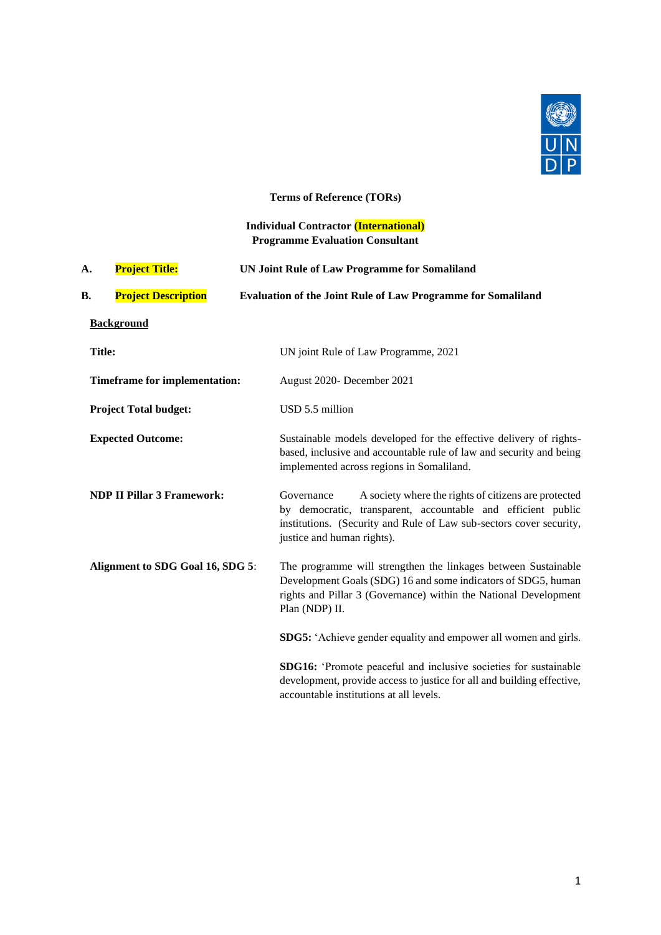

# **Terms of Reference (TORs)**

# **Individual Contractor (International) Programme Evaluation Consultant**

| A.            | <b>Project Title:</b>                | <b>UN Joint Rule of Law Programme for Somaliland</b>                                                                                                                                                                                    |  |  |
|---------------|--------------------------------------|-----------------------------------------------------------------------------------------------------------------------------------------------------------------------------------------------------------------------------------------|--|--|
| В.            | <b>Project Description</b>           | <b>Evaluation of the Joint Rule of Law Programme for Somaliland</b>                                                                                                                                                                     |  |  |
|               | <b>Background</b>                    |                                                                                                                                                                                                                                         |  |  |
| <b>Title:</b> |                                      | UN joint Rule of Law Programme, 2021                                                                                                                                                                                                    |  |  |
|               | <b>Timeframe for implementation:</b> | August 2020- December 2021                                                                                                                                                                                                              |  |  |
|               | <b>Project Total budget:</b>         | USD 5.5 million                                                                                                                                                                                                                         |  |  |
|               | <b>Expected Outcome:</b>             | Sustainable models developed for the effective delivery of rights-<br>based, inclusive and accountable rule of law and security and being<br>implemented across regions in Somaliland.                                                  |  |  |
|               | <b>NDP II Pillar 3 Framework:</b>    | A society where the rights of citizens are protected<br>Governance<br>by democratic, transparent, accountable and efficient public<br>institutions. (Security and Rule of Law sub-sectors cover security,<br>justice and human rights). |  |  |
|               | Alignment to SDG Goal 16, SDG 5:     | The programme will strengthen the linkages between Sustainable<br>Development Goals (SDG) 16 and some indicators of SDG5, human<br>rights and Pillar 3 (Governance) within the National Development<br>Plan (NDP) II.                   |  |  |
|               |                                      | SDG5: 'Achieve gender equality and empower all women and girls.                                                                                                                                                                         |  |  |
|               |                                      | SDG16: 'Promote peaceful and inclusive societies for sustainable<br>development, provide access to justice for all and building effective,<br>accountable institutions at all levels.                                                   |  |  |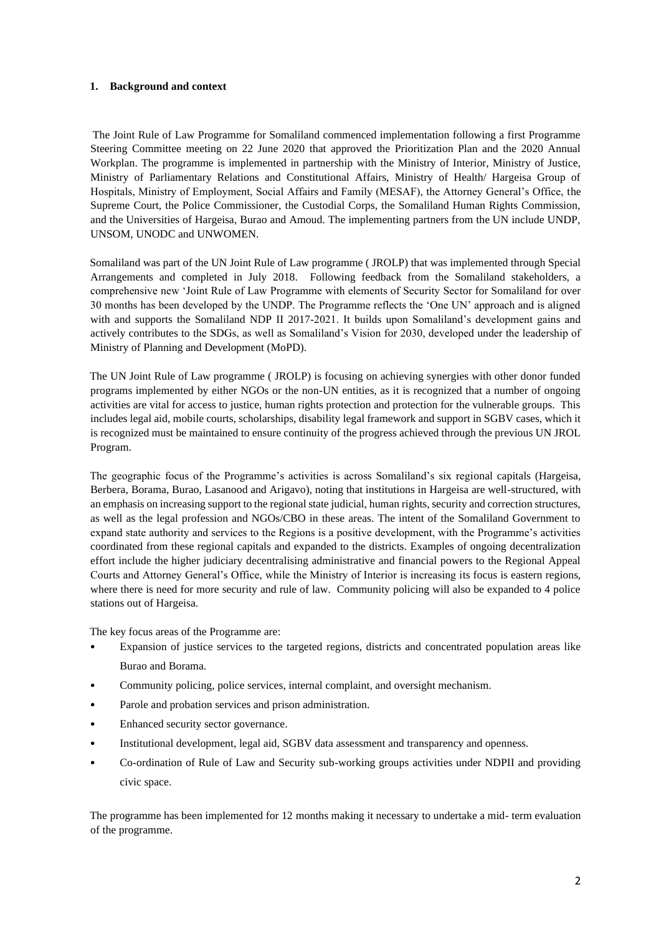# **1. Background and context**

The Joint Rule of Law Programme for Somaliland commenced implementation following a first Programme Steering Committee meeting on 22 June 2020 that approved the Prioritization Plan and the 2020 Annual Workplan. The programme is implemented in partnership with the Ministry of Interior, Ministry of Justice, Ministry of Parliamentary Relations and Constitutional Affairs, Ministry of Health/ Hargeisa Group of Hospitals, Ministry of Employment, Social Affairs and Family (MESAF), the Attorney General's Office, the Supreme Court, the Police Commissioner, the Custodial Corps, the Somaliland Human Rights Commission, and the Universities of Hargeisa, Burao and Amoud. The implementing partners from the UN include UNDP, UNSOM, UNODC and UNWOMEN.

Somaliland was part of the UN Joint Rule of Law programme ( JROLP) that was implemented through Special Arrangements and completed in July 2018. Following feedback from the Somaliland stakeholders, a comprehensive new 'Joint Rule of Law Programme with elements of Security Sector for Somaliland for over 30 months has been developed by the UNDP. The Programme reflects the 'One UN' approach and is aligned with and supports the Somaliland NDP II 2017-2021. It builds upon Somaliland's development gains and actively contributes to the SDGs, as well as Somaliland's Vision for 2030, developed under the leadership of Ministry of Planning and Development (MoPD).

The UN Joint Rule of Law programme ( JROLP) is focusing on achieving synergies with other donor funded programs implemented by either NGOs or the non-UN entities, as it is recognized that a number of ongoing activities are vital for access to justice, human rights protection and protection for the vulnerable groups. This includes legal aid, mobile courts, scholarships, disability legal framework and support in SGBV cases, which it is recognized must be maintained to ensure continuity of the progress achieved through the previous UN JROL Program.

The geographic focus of the Programme's activities is across Somaliland's six regional capitals (Hargeisa, Berbera, Borama, Burao, Lasanood and Arigavo), noting that institutions in Hargeisa are well-structured, with an emphasis on increasing support to the regional state judicial, human rights, security and correction structures, as well as the legal profession and NGOs/CBO in these areas. The intent of the Somaliland Government to expand state authority and services to the Regions is a positive development, with the Programme's activities coordinated from these regional capitals and expanded to the districts. Examples of ongoing decentralization effort include the higher judiciary decentralising administrative and financial powers to the Regional Appeal Courts and Attorney General's Office, while the Ministry of Interior is increasing its focus is eastern regions, where there is need for more security and rule of law. Community policing will also be expanded to 4 police stations out of Hargeisa.

The key focus areas of the Programme are:

- Expansion of justice services to the targeted regions, districts and concentrated population areas like Burao and Borama.
- Community policing, police services, internal complaint, and oversight mechanism.
- Parole and probation services and prison administration.
- Enhanced security sector governance.
- Institutional development, legal aid, SGBV data assessment and transparency and openness.
- Co-ordination of Rule of Law and Security sub-working groups activities under NDPII and providing civic space.

The programme has been implemented for 12 months making it necessary to undertake a mid- term evaluation of the programme.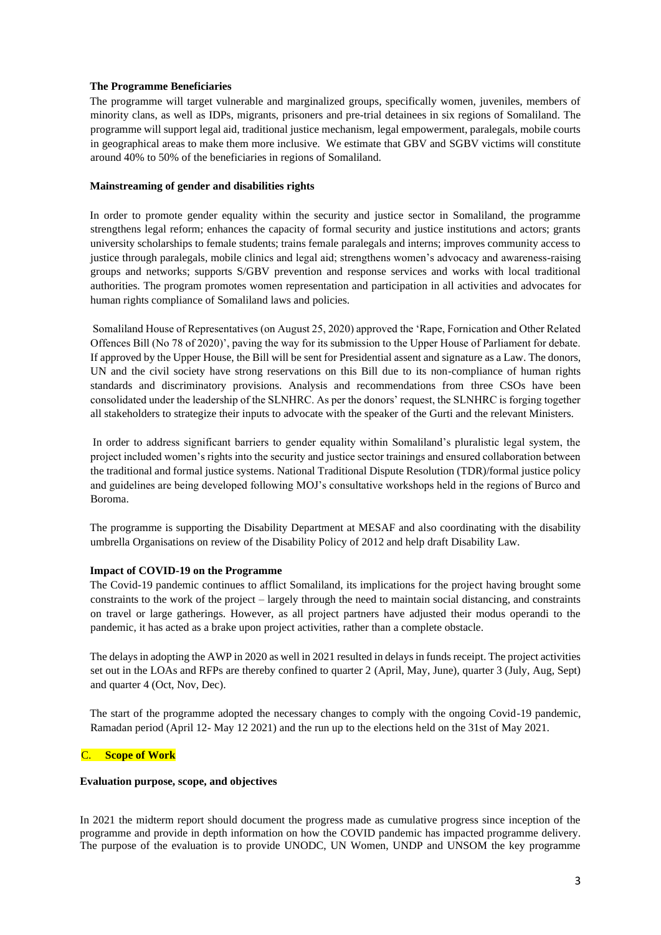# **The Programme Beneficiaries**

The programme will target vulnerable and marginalized groups, specifically women, juveniles, members of minority clans, as well as IDPs, migrants, prisoners and pre-trial detainees in six regions of Somaliland. The programme will support legal aid, traditional justice mechanism, legal empowerment, paralegals, mobile courts in geographical areas to make them more inclusive. We estimate that GBV and SGBV victims will constitute around 40% to 50% of the beneficiaries in regions of Somaliland.

# **Mainstreaming of gender and disabilities rights**

In order to promote gender equality within the security and justice sector in Somaliland, the programme strengthens legal reform; enhances the capacity of formal security and justice institutions and actors; grants university scholarships to female students; trains female paralegals and interns; improves community access to justice through paralegals, mobile clinics and legal aid; strengthens women's advocacy and awareness-raising groups and networks; supports S/GBV prevention and response services and works with local traditional authorities. The program promotes women representation and participation in all activities and advocates for human rights compliance of Somaliland laws and policies.

Somaliland House of Representatives (on August 25, 2020) approved the 'Rape, Fornication and Other Related Offences Bill (No 78 of 2020)', paving the way for its submission to the Upper House of Parliament for debate. If approved by the Upper House, the Bill will be sent for Presidential assent and signature as a Law. The donors, UN and the civil society have strong reservations on this Bill due to its non-compliance of human rights standards and discriminatory provisions. Analysis and recommendations from three CSOs have been consolidated under the leadership of the SLNHRC. As per the donors' request, the SLNHRC is forging together all stakeholders to strategize their inputs to advocate with the speaker of the Gurti and the relevant Ministers.

In order to address significant barriers to gender equality within Somaliland's pluralistic legal system, the project included women's rights into the security and justice sector trainings and ensured collaboration between the traditional and formal justice systems. National Traditional Dispute Resolution (TDR)/formal justice policy and guidelines are being developed following MOJ's consultative workshops held in the regions of Burco and Boroma.

The programme is supporting the Disability Department at MESAF and also coordinating with the disability umbrella Organisations on review of the Disability Policy of 2012 and help draft Disability Law.

# **Impact of COVID-19 on the Programme**

The Covid-19 pandemic continues to afflict Somaliland, its implications for the project having brought some constraints to the work of the project – largely through the need to maintain social distancing, and constraints on travel or large gatherings. However, as all project partners have adjusted their modus operandi to the pandemic, it has acted as a brake upon project activities, rather than a complete obstacle.

The delays in adopting the AWP in 2020 as well in 2021 resulted in delays in funds receipt. The project activities set out in the LOAs and RFPs are thereby confined to quarter 2 (April, May, June), quarter 3 (July, Aug, Sept) and quarter 4 (Oct, Nov, Dec).

The start of the programme adopted the necessary changes to comply with the ongoing Covid-19 pandemic, Ramadan period (April 12- May 12 2021) and the run up to the elections held on the 31st of May 2021.

# **Scope of Work**

# **Evaluation purpose, scope, and objectives**

In 2021 the midterm report should document the progress made as cumulative progress since inception of the programme and provide in depth information on how the COVID pandemic has impacted programme delivery. The purpose of the evaluation is to provide UNODC, UN Women, UNDP and UNSOM the key programme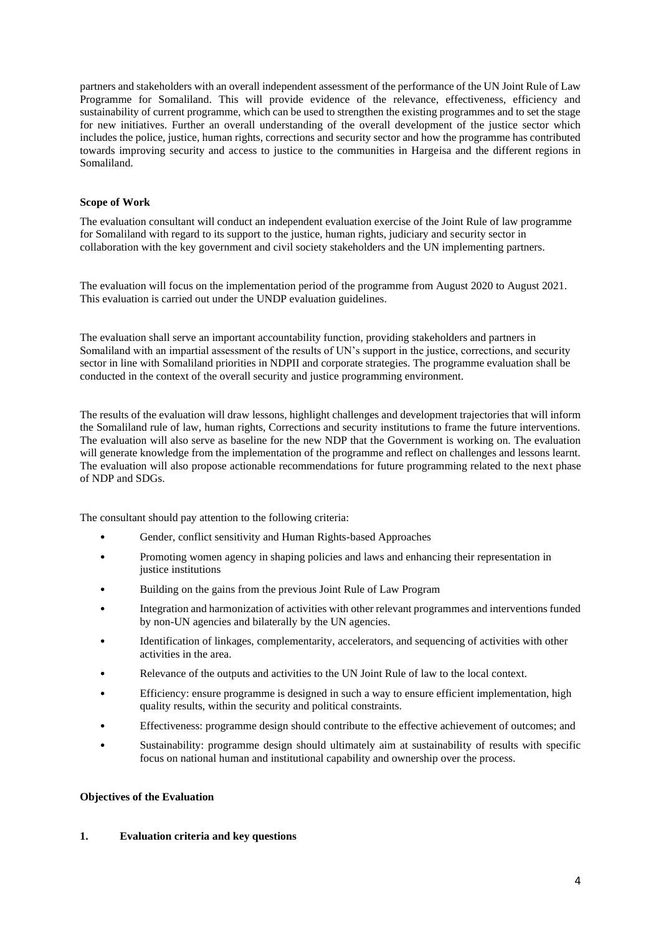partners and stakeholders with an overall independent assessment of the performance of the UN Joint Rule of Law Programme for Somaliland. This will provide evidence of the relevance, effectiveness, efficiency and sustainability of current programme, which can be used to strengthen the existing programmes and to set the stage for new initiatives. Further an overall understanding of the overall development of the justice sector which includes the police, justice, human rights, corrections and security sector and how the programme has contributed towards improving security and access to justice to the communities in Hargeisa and the different regions in Somaliland.

# **Scope of Work**

The evaluation consultant will conduct an independent evaluation exercise of the Joint Rule of law programme for Somaliland with regard to its support to the justice, human rights, judiciary and security sector in collaboration with the key government and civil society stakeholders and the UN implementing partners.

The evaluation will focus on the implementation period of the programme from August 2020 to August 2021. This evaluation is carried out under the UNDP evaluation guidelines.

The evaluation shall serve an important accountability function, providing stakeholders and partners in Somaliland with an impartial assessment of the results of UN's support in the justice, corrections, and security sector in line with Somaliland priorities in NDPII and corporate strategies. The programme evaluation shall be conducted in the context of the overall security and justice programming environment.

The results of the evaluation will draw lessons, highlight challenges and development trajectories that will inform the Somaliland rule of law, human rights, Corrections and security institutions to frame the future interventions. The evaluation will also serve as baseline for the new NDP that the Government is working on. The evaluation will generate knowledge from the implementation of the programme and reflect on challenges and lessons learnt. The evaluation will also propose actionable recommendations for future programming related to the next phase of NDP and SDGs.

The consultant should pay attention to the following criteria:

- Gender, conflict sensitivity and Human Rights-based Approaches
- Promoting women agency in shaping policies and laws and enhancing their representation in justice institutions
- Building on the gains from the previous Joint Rule of Law Program
- Integration and harmonization of activities with other relevant programmes and interventions funded by non-UN agencies and bilaterally by the UN agencies.
- Identification of linkages, complementarity, accelerators, and sequencing of activities with other activities in the area.
- Relevance of the outputs and activities to the UN Joint Rule of law to the local context.
- Efficiency: ensure programme is designed in such a way to ensure efficient implementation, high quality results, within the security and political constraints.
- Effectiveness: programme design should contribute to the effective achievement of outcomes; and
- Sustainability: programme design should ultimately aim at sustainability of results with specific focus on national human and institutional capability and ownership over the process.

# **Objectives of the Evaluation**

# **1. Evaluation criteria and key questions**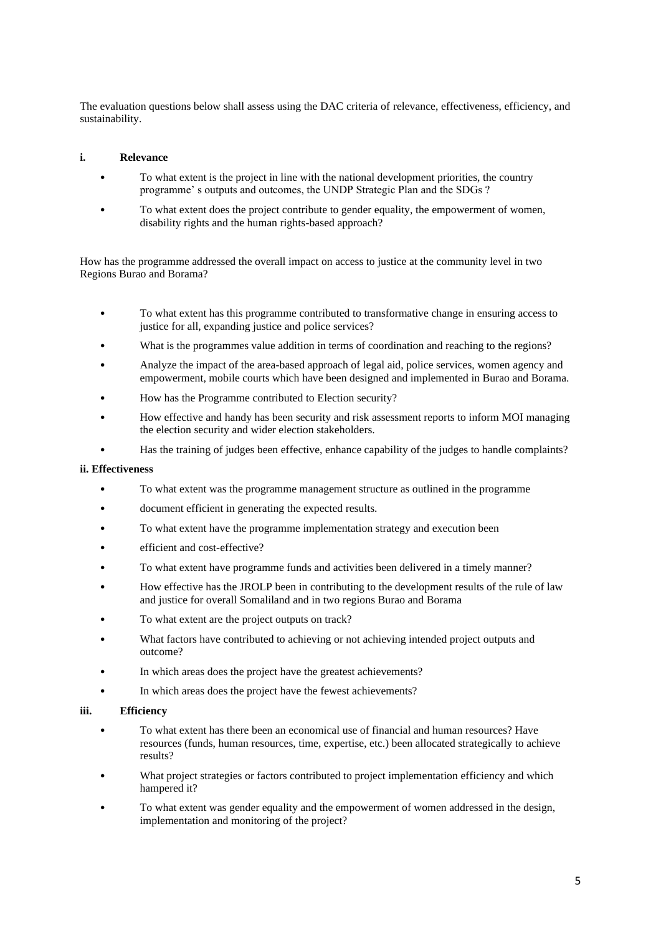The evaluation questions below shall assess using the DAC criteria of relevance, effectiveness, efficiency, and sustainability.

# **i. Relevance**

- To what extent is the project in line with the national development priorities, the country programme' s outputs and outcomes, the UNDP Strategic Plan and the SDGs ?
- To what extent does the project contribute to gender equality, the empowerment of women, disability rights and the human rights-based approach?

How has the programme addressed the overall impact on access to justice at the community level in two Regions Burao and Borama?

- To what extent has this programme contributed to transformative change in ensuring access to justice for all, expanding justice and police services?
- What is the programmes value addition in terms of coordination and reaching to the regions?
- Analyze the impact of the area-based approach of legal aid, police services, women agency and empowerment, mobile courts which have been designed and implemented in Burao and Borama.
- How has the Programme contributed to Election security?
- How effective and handy has been security and risk assessment reports to inform MOI managing the election security and wider election stakeholders.
- Has the training of judges been effective, enhance capability of the judges to handle complaints?

# **ii. Effectiveness**

- To what extent was the programme management structure as outlined in the programme
- document efficient in generating the expected results.
- To what extent have the programme implementation strategy and execution been
- efficient and cost-effective?
- To what extent have programme funds and activities been delivered in a timely manner?
- How effective has the JROLP been in contributing to the development results of the rule of law and justice for overall Somaliland and in two regions Burao and Borama
- To what extent are the project outputs on track?
- What factors have contributed to achieving or not achieving intended project outputs and outcome?
- In which areas does the project have the greatest achievements?
- In which areas does the project have the fewest achievements?

### **iii. Efficiency**

- To what extent has there been an economical use of financial and human resources? Have resources (funds, human resources, time, expertise, etc.) been allocated strategically to achieve results?
- What project strategies or factors contributed to project implementation efficiency and which hampered it?
- To what extent was gender equality and the empowerment of women addressed in the design, implementation and monitoring of the project?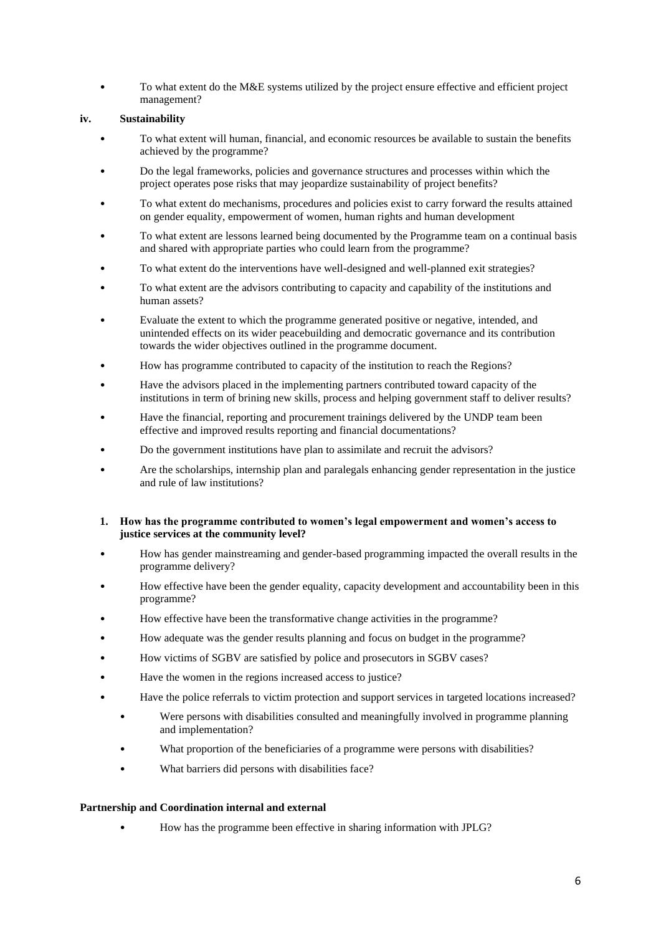• To what extent do the M&E systems utilized by the project ensure effective and efficient project management?

# **iv. Sustainability**

- To what extent will human, financial, and economic resources be available to sustain the benefits achieved by the programme?
- Do the legal frameworks, policies and governance structures and processes within which the project operates pose risks that may jeopardize sustainability of project benefits?
- To what extent do mechanisms, procedures and policies exist to carry forward the results attained on gender equality, empowerment of women, human rights and human development
- To what extent are lessons learned being documented by the Programme team on a continual basis and shared with appropriate parties who could learn from the programme?
- To what extent do the interventions have well-designed and well-planned exit strategies?
- To what extent are the advisors contributing to capacity and capability of the institutions and human assets?
- Evaluate the extent to which the programme generated positive or negative, intended, and unintended effects on its wider peacebuilding and democratic governance and its contribution towards the wider objectives outlined in the programme document.
- How has programme contributed to capacity of the institution to reach the Regions?
- Have the advisors placed in the implementing partners contributed toward capacity of the institutions in term of brining new skills, process and helping government staff to deliver results?
- Have the financial, reporting and procurement trainings delivered by the UNDP team been effective and improved results reporting and financial documentations?
- Do the government institutions have plan to assimilate and recruit the advisors?
- Are the scholarships, internship plan and paralegals enhancing gender representation in the justice and rule of law institutions?

# **1. How has the programme contributed to women's legal empowerment and women's access to justice services at the community level?**

- How has gender mainstreaming and gender-based programming impacted the overall results in the programme delivery?
- How effective have been the gender equality, capacity development and accountability been in this programme?
- How effective have been the transformative change activities in the programme?
- How adequate was the gender results planning and focus on budget in the programme?
- How victims of SGBV are satisfied by police and prosecutors in SGBV cases?
- Have the women in the regions increased access to justice?
- Have the police referrals to victim protection and support services in targeted locations increased?
	- Were persons with disabilities consulted and meaningfully involved in programme planning and implementation?
	- What proportion of the beneficiaries of a programme were persons with disabilities?
	- What barriers did persons with disabilities face?

# **Partnership and Coordination internal and external**

• How has the programme been effective in sharing information with JPLG?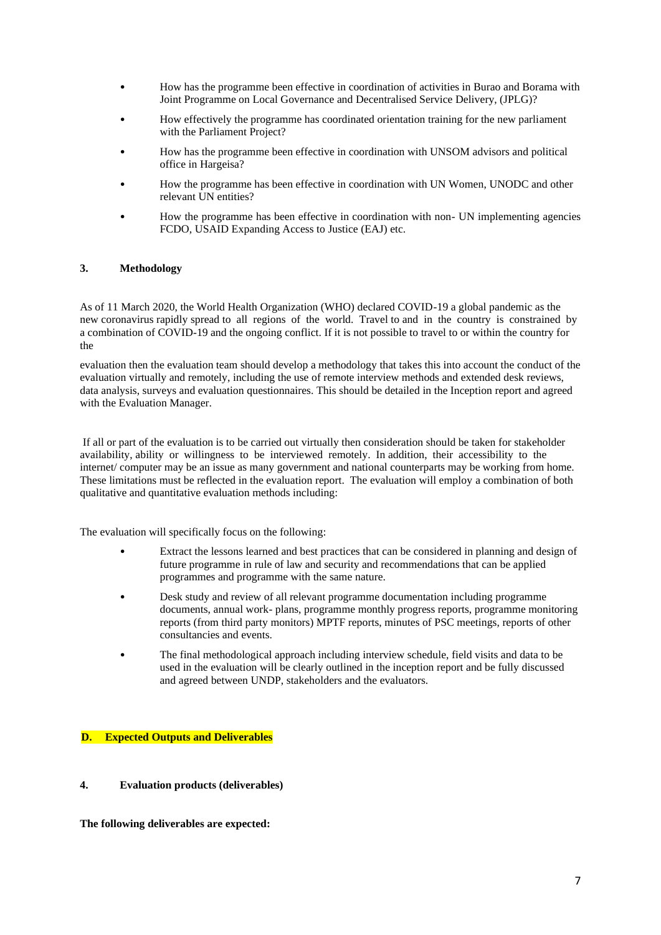- How has the programme been effective in coordination of activities in Burao and Borama with Joint Programme on Local Governance and Decentralised Service Delivery, (JPLG)?
- How effectively the programme has coordinated orientation training for the new parliament with the Parliament Project?
- How has the programme been effective in coordination with UNSOM advisors and political office in Hargeisa?
- How the programme has been effective in coordination with UN Women, UNODC and other relevant UN entities?
- How the programme has been effective in coordination with non- UN implementing agencies FCDO, USAID Expanding Access to Justice (EAJ) etc.

# **3. Methodology**

As of 11 March 2020, the World Health Organization (WHO) declared COVID-19 a global pandemic as the new coronavirus rapidly spread to all regions of the world. Travel to and in the country is constrained by a combination of COVID-19 and the ongoing conflict. If it is not possible to travel to or within the country for the

evaluation then the evaluation team should develop a methodology that takes this into account the conduct of the evaluation virtually and remotely, including the use of remote interview methods and extended desk reviews, data analysis, surveys and evaluation questionnaires. This should be detailed in the Inception report and agreed with the Evaluation Manager.

If all or part of the evaluation is to be carried out virtually then consideration should be taken for stakeholder availability, ability or willingness to be interviewed remotely. In addition, their accessibility to the internet/ computer may be an issue as many government and national counterparts may be working from home. These limitations must be reflected in the evaluation report. The evaluation will employ a combination of both qualitative and quantitative evaluation methods including:

The evaluation will specifically focus on the following:

- Extract the lessons learned and best practices that can be considered in planning and design of future programme in rule of law and security and recommendations that can be applied programmes and programme with the same nature.
- Desk study and review of all relevant programme documentation including programme documents, annual work- plans, programme monthly progress reports, programme monitoring reports (from third party monitors) MPTF reports, minutes of PSC meetings, reports of other consultancies and events.
- The final methodological approach including interview schedule, field visits and data to be used in the evaluation will be clearly outlined in the inception report and be fully discussed and agreed between UNDP, stakeholders and the evaluators.

# **D. Expected Outputs and Deliverables**

# **4. Evaluation products (deliverables)**

**The following deliverables are expected:**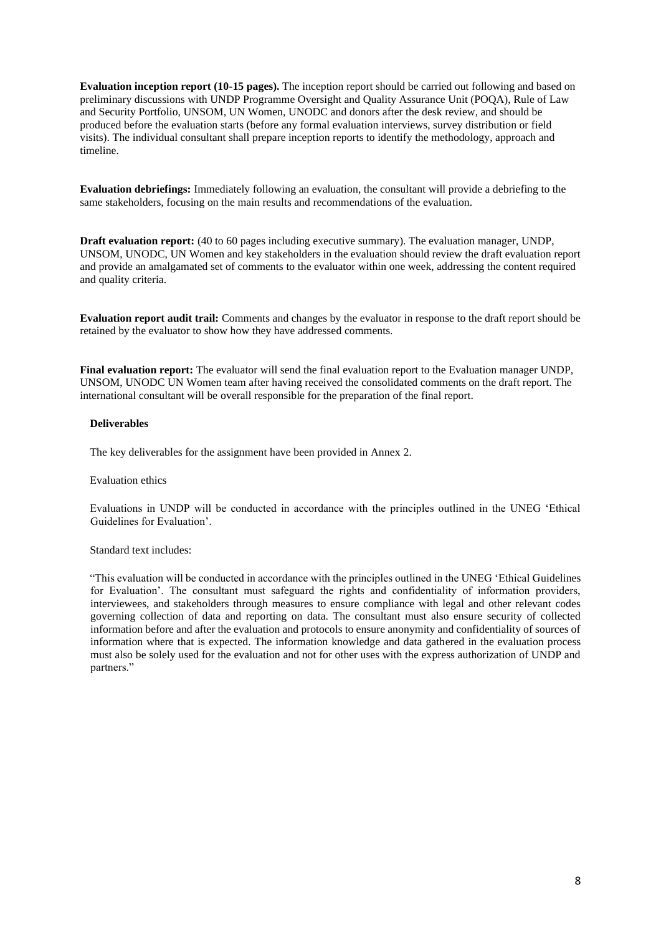**Evaluation inception report (10-15 pages).** The inception report should be carried out following and based on preliminary discussions with UNDP Programme Oversight and Quality Assurance Unit (POQA), Rule of Law and Security Portfolio, UNSOM, UN Women, UNODC and donors after the desk review, and should be produced before the evaluation starts (before any formal evaluation interviews, survey distribution or field visits). The individual consultant shall prepare inception reports to identify the methodology, approach and timeline.

**Evaluation debriefings:** Immediately following an evaluation, the consultant will provide a debriefing to the same stakeholders, focusing on the main results and recommendations of the evaluation.

**Draft evaluation report:** (40 to 60 pages including executive summary). The evaluation manager, UNDP, UNSOM, UNODC, UN Women and key stakeholders in the evaluation should review the draft evaluation report and provide an amalgamated set of comments to the evaluator within one week, addressing the content required and quality criteria.

**Evaluation report audit trail:** Comments and changes by the evaluator in response to the draft report should be retained by the evaluator to show how they have addressed comments.

**Final evaluation report:** The evaluator will send the final evaluation report to the Evaluation manager UNDP, UNSOM, UNODC UN Women team after having received the consolidated comments on the draft report. The international consultant will be overall responsible for the preparation of the final report.

#### **Deliverables**

The key deliverables for the assignment have been provided in Annex 2.

#### Evaluation ethics

Evaluations in UNDP will be conducted in accordance with the principles outlined in the UNEG 'Ethical Guidelines for Evaluation'.

# Standard text includes:

"This evaluation will be conducted in accordance with the principles outlined in the UNEG 'Ethical Guidelines for Evaluation'. The consultant must safeguard the rights and confidentiality of information providers, interviewees, and stakeholders through measures to ensure compliance with legal and other relevant codes governing collection of data and reporting on data. The consultant must also ensure security of collected information before and after the evaluation and protocols to ensure anonymity and confidentiality of sources of information where that is expected. The information knowledge and data gathered in the evaluation process must also be solely used for the evaluation and not for other uses with the express authorization of UNDP and partners."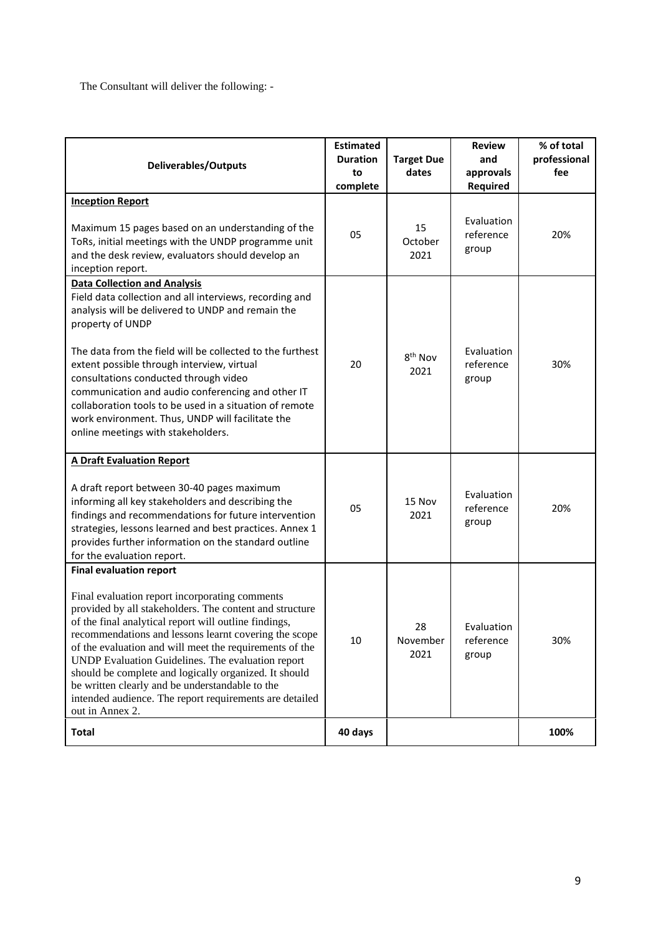The Consultant will deliver the following: -

| <b>Deliverables/Outputs</b>                                                                                                                                                                                                                                                                                                                                                                                                                                                                                                           | <b>Estimated</b><br><b>Duration</b><br>to<br>complete | <b>Target Due</b><br>dates  | <b>Review</b><br>and<br>approvals<br>Required | % of total<br>professional<br>fee |
|---------------------------------------------------------------------------------------------------------------------------------------------------------------------------------------------------------------------------------------------------------------------------------------------------------------------------------------------------------------------------------------------------------------------------------------------------------------------------------------------------------------------------------------|-------------------------------------------------------|-----------------------------|-----------------------------------------------|-----------------------------------|
| <b>Inception Report</b>                                                                                                                                                                                                                                                                                                                                                                                                                                                                                                               |                                                       |                             |                                               |                                   |
| Maximum 15 pages based on an understanding of the<br>ToRs, initial meetings with the UNDP programme unit<br>and the desk review, evaluators should develop an<br>inception report.                                                                                                                                                                                                                                                                                                                                                    | 05                                                    | 15<br>October<br>2021       | Evaluation<br>reference<br>group              | 20%                               |
| <b>Data Collection and Analysis</b>                                                                                                                                                                                                                                                                                                                                                                                                                                                                                                   |                                                       |                             |                                               |                                   |
| Field data collection and all interviews, recording and<br>analysis will be delivered to UNDP and remain the<br>property of UNDP                                                                                                                                                                                                                                                                                                                                                                                                      |                                                       |                             |                                               |                                   |
| The data from the field will be collected to the furthest<br>extent possible through interview, virtual<br>consultations conducted through video<br>communication and audio conferencing and other IT<br>collaboration tools to be used in a situation of remote<br>work environment. Thus, UNDP will facilitate the<br>online meetings with stakeholders.                                                                                                                                                                            | 20                                                    | 8 <sup>th</sup> Nov<br>2021 | Evaluation<br>reference<br>group              | 30%                               |
| <b>A Draft Evaluation Report</b>                                                                                                                                                                                                                                                                                                                                                                                                                                                                                                      |                                                       |                             |                                               |                                   |
| A draft report between 30-40 pages maximum<br>informing all key stakeholders and describing the<br>findings and recommendations for future intervention<br>strategies, lessons learned and best practices. Annex 1<br>provides further information on the standard outline<br>for the evaluation report.                                                                                                                                                                                                                              | 05                                                    | 15 Nov<br>2021              | Evaluation<br>reference<br>group              | 20%                               |
| <b>Final evaluation report</b>                                                                                                                                                                                                                                                                                                                                                                                                                                                                                                        |                                                       |                             |                                               |                                   |
| Final evaluation report incorporating comments<br>provided by all stakeholders. The content and structure<br>of the final analytical report will outline findings,<br>recommendations and lessons learnt covering the scope<br>of the evaluation and will meet the requirements of the<br>UNDP Evaluation Guidelines. The evaluation report<br>should be complete and logically organized. It should<br>be written clearly and be understandable to the<br>intended audience. The report requirements are detailed<br>out in Annex 2. | 10                                                    | 28<br>November<br>2021      | Evaluation<br>reference<br>group              | 30%                               |
| <b>Total</b>                                                                                                                                                                                                                                                                                                                                                                                                                                                                                                                          | 40 days                                               |                             |                                               | 100%                              |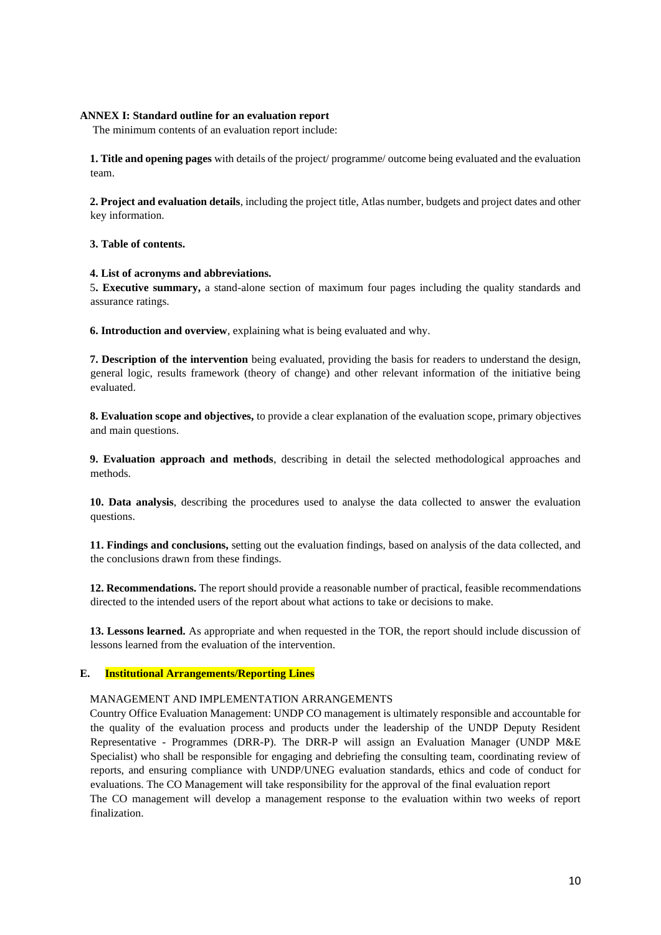# **ANNEX I: Standard outline for an evaluation report**

The minimum contents of an evaluation report include:

**1. Title and opening pages** with details of the project/ programme/ outcome being evaluated and the evaluation team.

**2. Project and evaluation details**, including the project title, Atlas number, budgets and project dates and other key information.

### **3. Table of contents.**

### **4. List of acronyms and abbreviations.**

5**. Executive summary,** a stand-alone section of maximum four pages including the quality standards and assurance ratings.

**6. Introduction and overview**, explaining what is being evaluated and why.

**7. Description of the intervention** being evaluated, providing the basis for readers to understand the design, general logic, results framework (theory of change) and other relevant information of the initiative being evaluated.

**8. Evaluation scope and objectives,** to provide a clear explanation of the evaluation scope, primary objectives and main questions.

**9. Evaluation approach and methods**, describing in detail the selected methodological approaches and methods.

**10. Data analysis**, describing the procedures used to analyse the data collected to answer the evaluation questions.

**11. Findings and conclusions,** setting out the evaluation findings, based on analysis of the data collected, and the conclusions drawn from these findings.

**12. Recommendations.** The report should provide a reasonable number of practical, feasible recommendations directed to the intended users of the report about what actions to take or decisions to make.

**13. Lessons learned.** As appropriate and when requested in the TOR, the report should include discussion of lessons learned from the evaluation of the intervention.

# **E. Institutional Arrangements/Reporting Lines**

### MANAGEMENT AND IMPLEMENTATION ARRANGEMENTS

Country Office Evaluation Management: UNDP CO management is ultimately responsible and accountable for the quality of the evaluation process and products under the leadership of the UNDP Deputy Resident Representative - Programmes (DRR-P). The DRR-P will assign an Evaluation Manager (UNDP M&E Specialist) who shall be responsible for engaging and debriefing the consulting team, coordinating review of reports, and ensuring compliance with UNDP/UNEG evaluation standards, ethics and code of conduct for evaluations. The CO Management will take responsibility for the approval of the final evaluation report The CO management will develop a management response to the evaluation within two weeks of report finalization.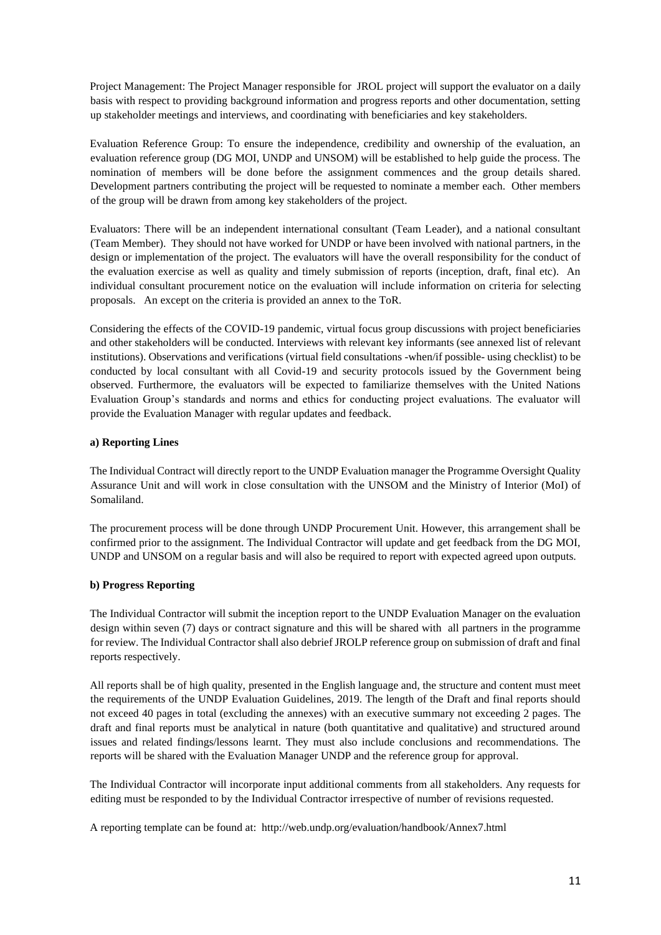Project Management: The Project Manager responsible for JROL project will support the evaluator on a daily basis with respect to providing background information and progress reports and other documentation, setting up stakeholder meetings and interviews, and coordinating with beneficiaries and key stakeholders.

Evaluation Reference Group: To ensure the independence, credibility and ownership of the evaluation, an evaluation reference group (DG MOI, UNDP and UNSOM) will be established to help guide the process. The nomination of members will be done before the assignment commences and the group details shared. Development partners contributing the project will be requested to nominate a member each. Other members of the group will be drawn from among key stakeholders of the project.

Evaluators: There will be an independent international consultant (Team Leader), and a national consultant (Team Member). They should not have worked for UNDP or have been involved with national partners, in the design or implementation of the project. The evaluators will have the overall responsibility for the conduct of the evaluation exercise as well as quality and timely submission of reports (inception, draft, final etc). An individual consultant procurement notice on the evaluation will include information on criteria for selecting proposals. An except on the criteria is provided an annex to the ToR.

Considering the effects of the COVID-19 pandemic, virtual focus group discussions with project beneficiaries and other stakeholders will be conducted. Interviews with relevant key informants (see annexed list of relevant institutions). Observations and verifications (virtual field consultations -when/if possible- using checklist) to be conducted by local consultant with all Covid-19 and security protocols issued by the Government being observed. Furthermore, the evaluators will be expected to familiarize themselves with the United Nations Evaluation Group's standards and norms and ethics for conducting project evaluations. The evaluator will provide the Evaluation Manager with regular updates and feedback.

# **a) Reporting Lines**

The Individual Contract will directly report to the UNDP Evaluation manager the Programme Oversight Quality Assurance Unit and will work in close consultation with the UNSOM and the Ministry of Interior (MoI) of Somaliland.

The procurement process will be done through UNDP Procurement Unit. However, this arrangement shall be confirmed prior to the assignment. The Individual Contractor will update and get feedback from the DG MOI, UNDP and UNSOM on a regular basis and will also be required to report with expected agreed upon outputs.

# **b) Progress Reporting**

The Individual Contractor will submit the inception report to the UNDP Evaluation Manager on the evaluation design within seven (7) days or contract signature and this will be shared with all partners in the programme for review. The Individual Contractor shall also debrief JROLP reference group on submission of draft and final reports respectively.

All reports shall be of high quality, presented in the English language and, the structure and content must meet the requirements of the UNDP Evaluation Guidelines, 2019. The length of the Draft and final reports should not exceed 40 pages in total (excluding the annexes) with an executive summary not exceeding 2 pages. The draft and final reports must be analytical in nature (both quantitative and qualitative) and structured around issues and related findings/lessons learnt. They must also include conclusions and recommendations. The reports will be shared with the Evaluation Manager UNDP and the reference group for approval.

The Individual Contractor will incorporate input additional comments from all stakeholders. Any requests for editing must be responded to by the Individual Contractor irrespective of number of revisions requested.

A reporting template can be found at: http://web.undp.org/evaluation/handbook/Annex7.html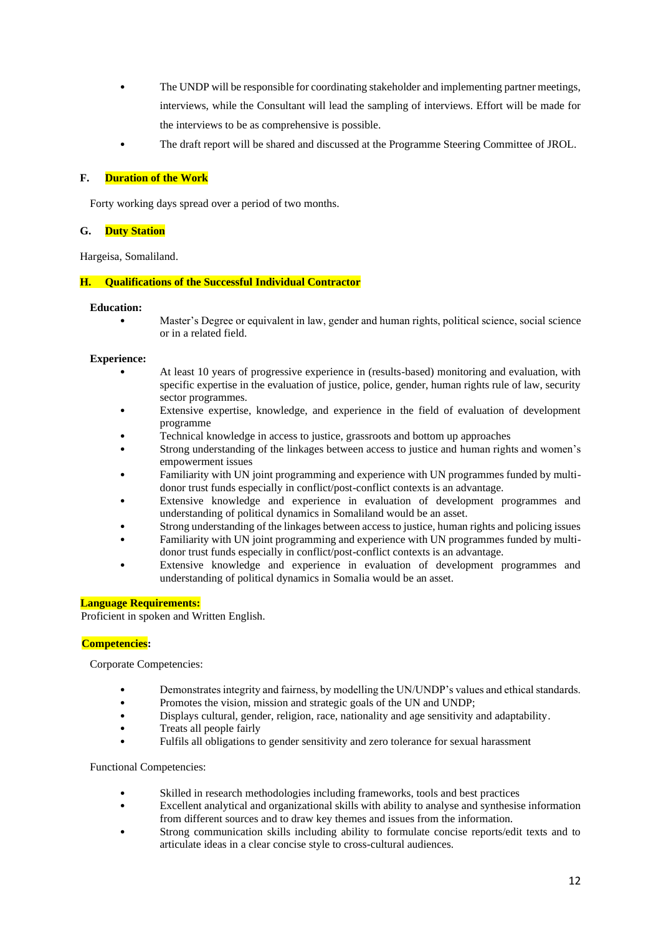- The UNDP will be responsible for coordinating stakeholder and implementing partner meetings, interviews, while the Consultant will lead the sampling of interviews. Effort will be made for the interviews to be as comprehensive is possible.
- The draft report will be shared and discussed at the Programme Steering Committee of JROL.

# **F. Duration of the Work**

Forty working days spread over a period of two months.

# **G. Duty Station**

Hargeisa, Somaliland.

# **H. Qualifications of the Successful Individual Contractor**

#### **Education:**

• Master's Degree or equivalent in law, gender and human rights, political science, social science or in a related field.

#### **Experience:**

- At least 10 years of progressive experience in (results-based) monitoring and evaluation, with specific expertise in the evaluation of justice, police, gender, human rights rule of law, security sector programmes.
- Extensive expertise, knowledge, and experience in the field of evaluation of development programme
- Technical knowledge in access to justice, grassroots and bottom up approaches
- Strong understanding of the linkages between access to justice and human rights and women's empowerment issues
- Familiarity with UN joint programming and experience with UN programmes funded by multidonor trust funds especially in conflict/post-conflict contexts is an advantage.
- Extensive knowledge and experience in evaluation of development programmes and understanding of political dynamics in Somaliland would be an asset.
- Strong understanding of the linkages between access to justice, human rights and policing issues
- Familiarity with UN joint programming and experience with UN programmes funded by multidonor trust funds especially in conflict/post-conflict contexts is an advantage.
- Extensive knowledge and experience in evaluation of development programmes and understanding of political dynamics in Somalia would be an asset.

# **Language Requirements:**

Proficient in spoken and Written English.

# **Competencies:**

Corporate Competencies:

- Demonstrates integrity and fairness, by modelling the UN/UNDP's values and ethical standards.
- Promotes the vision, mission and strategic goals of the UN and UNDP;
- Displays cultural, gender, religion, race, nationality and age sensitivity and adaptability.
- Treats all people fairly
- Fulfils all obligations to gender sensitivity and zero tolerance for sexual harassment

Functional Competencies:

- Skilled in research methodologies including frameworks, tools and best practices
- Excellent analytical and organizational skills with ability to analyse and synthesise information from different sources and to draw key themes and issues from the information.
- Strong communication skills including ability to formulate concise reports/edit texts and to articulate ideas in a clear concise style to cross-cultural audiences.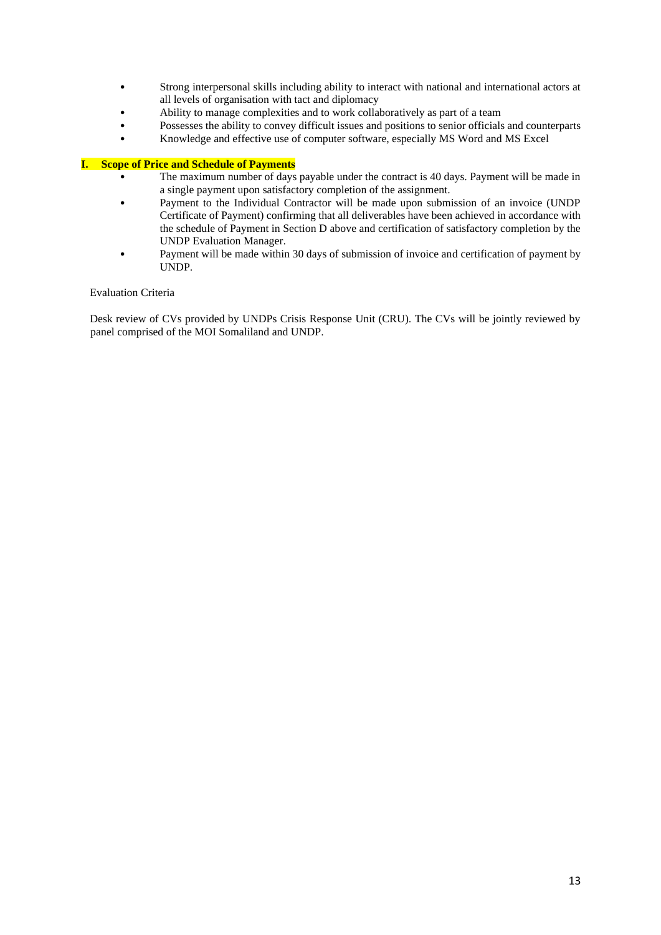- Strong interpersonal skills including ability to interact with national and international actors at all levels of organisation with tact and diplomacy
- Ability to manage complexities and to work collaboratively as part of a team
- Possesses the ability to convey difficult issues and positions to senior officials and counterparts
- Knowledge and effective use of computer software, especially MS Word and MS Excel

# **I. Scope of Price and Schedule of Payments**

- The maximum number of days payable under the contract is 40 days. Payment will be made in a single payment upon satisfactory completion of the assignment.
- Payment to the Individual Contractor will be made upon submission of an invoice (UNDP Certificate of Payment) confirming that all deliverables have been achieved in accordance with the schedule of Payment in Section D above and certification of satisfactory completion by the UNDP Evaluation Manager.
- Payment will be made within 30 days of submission of invoice and certification of payment by UNDP.

# Evaluation Criteria

Desk review of CVs provided by UNDPs Crisis Response Unit (CRU). The CVs will be jointly reviewed by panel comprised of the MOI Somaliland and UNDP.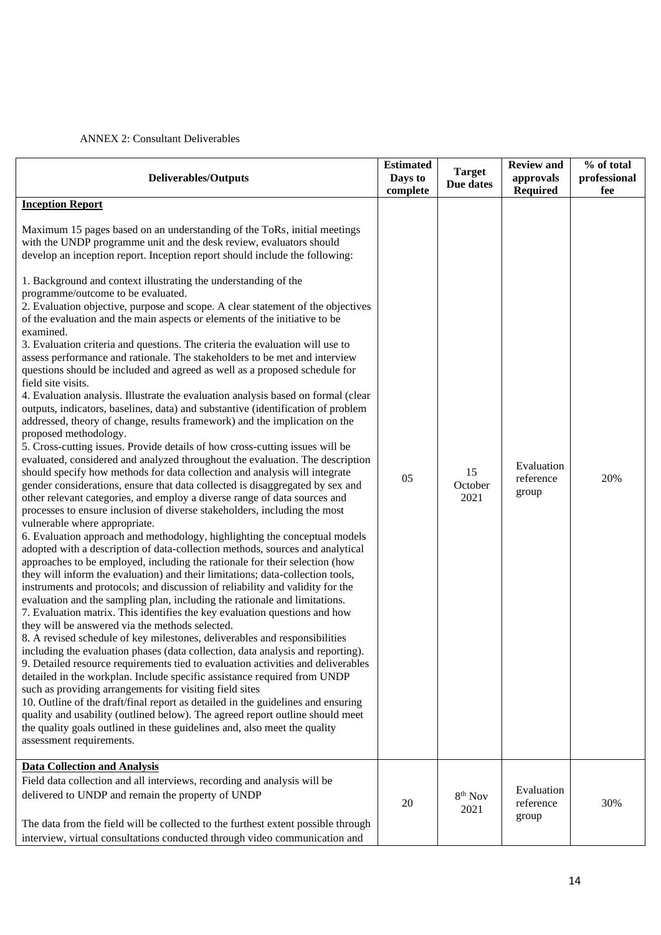# ANNEX 2: Consultant Deliverables

| <b>Deliverables/Outputs</b>                                                                                                                                                                                                                                                                                                                                                                                                                                                                                                                                                                                                                                                                                                                                                                                                                                                                                                                                                                                                                                                                                                                                                                                                                                                                                                                                                                                                                                                                                                                                                                                                                                                                                                                                                                                                                                                                                                                                                                                                                                                                                                                                                                                                                                                                                                                                                                                                                                                                                                                                                                                                                                                                                        | <b>Estimated</b><br>Days to<br>complete | <b>Target</b><br>Due dates | <b>Review and</b><br>approvals<br><b>Required</b> | % of total<br>professional<br>fee |
|--------------------------------------------------------------------------------------------------------------------------------------------------------------------------------------------------------------------------------------------------------------------------------------------------------------------------------------------------------------------------------------------------------------------------------------------------------------------------------------------------------------------------------------------------------------------------------------------------------------------------------------------------------------------------------------------------------------------------------------------------------------------------------------------------------------------------------------------------------------------------------------------------------------------------------------------------------------------------------------------------------------------------------------------------------------------------------------------------------------------------------------------------------------------------------------------------------------------------------------------------------------------------------------------------------------------------------------------------------------------------------------------------------------------------------------------------------------------------------------------------------------------------------------------------------------------------------------------------------------------------------------------------------------------------------------------------------------------------------------------------------------------------------------------------------------------------------------------------------------------------------------------------------------------------------------------------------------------------------------------------------------------------------------------------------------------------------------------------------------------------------------------------------------------------------------------------------------------------------------------------------------------------------------------------------------------------------------------------------------------------------------------------------------------------------------------------------------------------------------------------------------------------------------------------------------------------------------------------------------------------------------------------------------------------------------------------------------------|-----------------------------------------|----------------------------|---------------------------------------------------|-----------------------------------|
| <b>Inception Report</b>                                                                                                                                                                                                                                                                                                                                                                                                                                                                                                                                                                                                                                                                                                                                                                                                                                                                                                                                                                                                                                                                                                                                                                                                                                                                                                                                                                                                                                                                                                                                                                                                                                                                                                                                                                                                                                                                                                                                                                                                                                                                                                                                                                                                                                                                                                                                                                                                                                                                                                                                                                                                                                                                                            |                                         |                            |                                                   |                                   |
| Maximum 15 pages based on an understanding of the ToRs, initial meetings<br>with the UNDP programme unit and the desk review, evaluators should<br>develop an inception report. Inception report should include the following:                                                                                                                                                                                                                                                                                                                                                                                                                                                                                                                                                                                                                                                                                                                                                                                                                                                                                                                                                                                                                                                                                                                                                                                                                                                                                                                                                                                                                                                                                                                                                                                                                                                                                                                                                                                                                                                                                                                                                                                                                                                                                                                                                                                                                                                                                                                                                                                                                                                                                     |                                         |                            |                                                   |                                   |
| 1. Background and context illustrating the understanding of the<br>programme/outcome to be evaluated.<br>2. Evaluation objective, purpose and scope. A clear statement of the objectives<br>of the evaluation and the main aspects or elements of the initiative to be<br>examined.<br>3. Evaluation criteria and questions. The criteria the evaluation will use to<br>assess performance and rationale. The stakeholders to be met and interview<br>questions should be included and agreed as well as a proposed schedule for<br>field site visits.<br>4. Evaluation analysis. Illustrate the evaluation analysis based on formal (clear<br>outputs, indicators, baselines, data) and substantive (identification of problem<br>addressed, theory of change, results framework) and the implication on the<br>proposed methodology.<br>5. Cross-cutting issues. Provide details of how cross-cutting issues will be<br>evaluated, considered and analyzed throughout the evaluation. The description<br>should specify how methods for data collection and analysis will integrate<br>gender considerations, ensure that data collected is disaggregated by sex and<br>other relevant categories, and employ a diverse range of data sources and<br>processes to ensure inclusion of diverse stakeholders, including the most<br>vulnerable where appropriate.<br>6. Evaluation approach and methodology, highlighting the conceptual models<br>adopted with a description of data-collection methods, sources and analytical<br>approaches to be employed, including the rationale for their selection (how<br>they will inform the evaluation) and their limitations; data-collection tools,<br>instruments and protocols; and discussion of reliability and validity for the<br>evaluation and the sampling plan, including the rationale and limitations.<br>7. Evaluation matrix. This identifies the key evaluation questions and how<br>they will be answered via the methods selected.<br>8. A revised schedule of key milestones, deliverables and responsibilities<br>including the evaluation phases (data collection, data analysis and reporting).<br>9. Detailed resource requirements tied to evaluation activities and deliverables<br>detailed in the workplan. Include specific assistance required from UNDP<br>such as providing arrangements for visiting field sites<br>10. Outline of the draft/final report as detailed in the guidelines and ensuring<br>quality and usability (outlined below). The agreed report outline should meet<br>the quality goals outlined in these guidelines and, also meet the quality<br>assessment requirements.<br><b>Data Collection and Analysis</b> | 05                                      | 15<br>October<br>2021      | Evaluation<br>reference<br>group                  | 20%                               |
| Field data collection and all interviews, recording and analysis will be<br>delivered to UNDP and remain the property of UNDP<br>The data from the field will be collected to the furthest extent possible through                                                                                                                                                                                                                                                                                                                                                                                                                                                                                                                                                                                                                                                                                                                                                                                                                                                                                                                                                                                                                                                                                                                                                                                                                                                                                                                                                                                                                                                                                                                                                                                                                                                                                                                                                                                                                                                                                                                                                                                                                                                                                                                                                                                                                                                                                                                                                                                                                                                                                                 | 20                                      | $8th$ Nov<br>2021          | Evaluation<br>reference<br>group                  | 30%                               |
| interview, virtual consultations conducted through video communication and                                                                                                                                                                                                                                                                                                                                                                                                                                                                                                                                                                                                                                                                                                                                                                                                                                                                                                                                                                                                                                                                                                                                                                                                                                                                                                                                                                                                                                                                                                                                                                                                                                                                                                                                                                                                                                                                                                                                                                                                                                                                                                                                                                                                                                                                                                                                                                                                                                                                                                                                                                                                                                         |                                         |                            |                                                   |                                   |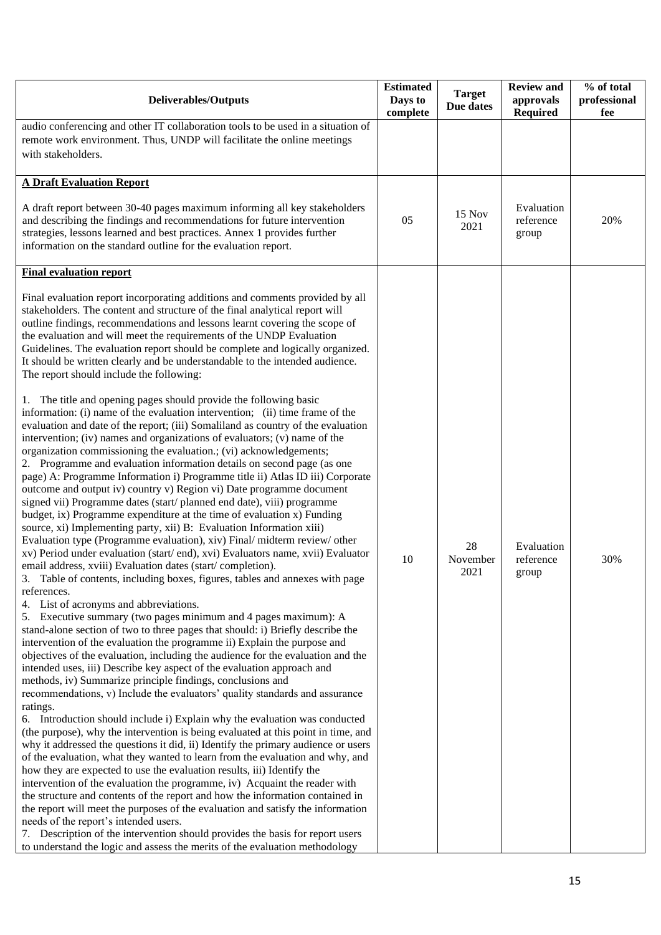| <b>Deliverables/Outputs</b>                                                                                                                                                                                                                                                                                                                                                                                                                                                                                                                                                                                                                                                                                                                                                                                                                                                                                                                                                                                                                                                                                                                                                                                                                                                                                                                                                                                                                                                                                                                                                                                                                                                                                                                                                                                                                                                                                                                                                                                                                                                                                                                                                                                                                                                                                                                                                                                                                                                                                                                                                                                                                                          | <b>Estimated</b><br>Days to<br>complete | <b>Target</b><br>Due dates | <b>Review and</b><br>approvals<br><b>Required</b> | % of total<br>professional<br>fee |
|----------------------------------------------------------------------------------------------------------------------------------------------------------------------------------------------------------------------------------------------------------------------------------------------------------------------------------------------------------------------------------------------------------------------------------------------------------------------------------------------------------------------------------------------------------------------------------------------------------------------------------------------------------------------------------------------------------------------------------------------------------------------------------------------------------------------------------------------------------------------------------------------------------------------------------------------------------------------------------------------------------------------------------------------------------------------------------------------------------------------------------------------------------------------------------------------------------------------------------------------------------------------------------------------------------------------------------------------------------------------------------------------------------------------------------------------------------------------------------------------------------------------------------------------------------------------------------------------------------------------------------------------------------------------------------------------------------------------------------------------------------------------------------------------------------------------------------------------------------------------------------------------------------------------------------------------------------------------------------------------------------------------------------------------------------------------------------------------------------------------------------------------------------------------------------------------------------------------------------------------------------------------------------------------------------------------------------------------------------------------------------------------------------------------------------------------------------------------------------------------------------------------------------------------------------------------------------------------------------------------------------------------------------------------|-----------------------------------------|----------------------------|---------------------------------------------------|-----------------------------------|
| audio conferencing and other IT collaboration tools to be used in a situation of<br>remote work environment. Thus, UNDP will facilitate the online meetings<br>with stakeholders.                                                                                                                                                                                                                                                                                                                                                                                                                                                                                                                                                                                                                                                                                                                                                                                                                                                                                                                                                                                                                                                                                                                                                                                                                                                                                                                                                                                                                                                                                                                                                                                                                                                                                                                                                                                                                                                                                                                                                                                                                                                                                                                                                                                                                                                                                                                                                                                                                                                                                    |                                         |                            |                                                   |                                   |
| <b>A Draft Evaluation Report</b>                                                                                                                                                                                                                                                                                                                                                                                                                                                                                                                                                                                                                                                                                                                                                                                                                                                                                                                                                                                                                                                                                                                                                                                                                                                                                                                                                                                                                                                                                                                                                                                                                                                                                                                                                                                                                                                                                                                                                                                                                                                                                                                                                                                                                                                                                                                                                                                                                                                                                                                                                                                                                                     |                                         |                            |                                                   |                                   |
| A draft report between 30-40 pages maximum informing all key stakeholders<br>and describing the findings and recommendations for future intervention<br>strategies, lessons learned and best practices. Annex 1 provides further<br>information on the standard outline for the evaluation report.                                                                                                                                                                                                                                                                                                                                                                                                                                                                                                                                                                                                                                                                                                                                                                                                                                                                                                                                                                                                                                                                                                                                                                                                                                                                                                                                                                                                                                                                                                                                                                                                                                                                                                                                                                                                                                                                                                                                                                                                                                                                                                                                                                                                                                                                                                                                                                   | 05                                      | <b>15 Nov</b><br>2021      | Evaluation<br>reference<br>group                  | 20%                               |
| <b>Final evaluation report</b>                                                                                                                                                                                                                                                                                                                                                                                                                                                                                                                                                                                                                                                                                                                                                                                                                                                                                                                                                                                                                                                                                                                                                                                                                                                                                                                                                                                                                                                                                                                                                                                                                                                                                                                                                                                                                                                                                                                                                                                                                                                                                                                                                                                                                                                                                                                                                                                                                                                                                                                                                                                                                                       |                                         |                            |                                                   |                                   |
| Final evaluation report incorporating additions and comments provided by all<br>stakeholders. The content and structure of the final analytical report will<br>outline findings, recommendations and lessons learnt covering the scope of<br>the evaluation and will meet the requirements of the UNDP Evaluation<br>Guidelines. The evaluation report should be complete and logically organized.<br>It should be written clearly and be understandable to the intended audience.<br>The report should include the following:                                                                                                                                                                                                                                                                                                                                                                                                                                                                                                                                                                                                                                                                                                                                                                                                                                                                                                                                                                                                                                                                                                                                                                                                                                                                                                                                                                                                                                                                                                                                                                                                                                                                                                                                                                                                                                                                                                                                                                                                                                                                                                                                       |                                         |                            |                                                   |                                   |
| 1. The title and opening pages should provide the following basic<br>information: (i) name of the evaluation intervention; (ii) time frame of the<br>evaluation and date of the report; (iii) Somaliland as country of the evaluation<br>intervention; (iv) names and organizations of evaluators; (v) name of the<br>organization commissioning the evaluation.; (vi) acknowledgements;<br>2. Programme and evaluation information details on second page (as one<br>page) A: Programme Information i) Programme title ii) Atlas ID iii) Corporate<br>outcome and output iv) country v) Region vi) Date programme document<br>signed vii) Programme dates (start/planned end date), viii) programme<br>budget, ix) Programme expenditure at the time of evaluation x) Funding<br>source, xi) Implementing party, xii) B: Evaluation Information xiii)<br>Evaluation type (Programme evaluation), xiv) Final/ midterm review/ other<br>xv) Period under evaluation (start/end), xvi) Evaluators name, xvii) Evaluator<br>email address, xviii) Evaluation dates (start/completion).<br>Table of contents, including boxes, figures, tables and annexes with page<br>3.<br>references.<br>4. List of acronyms and abbreviations.<br>5. Executive summary (two pages minimum and 4 pages maximum): A<br>stand-alone section of two to three pages that should: i) Briefly describe the<br>intervention of the evaluation the programme ii) Explain the purpose and<br>objectives of the evaluation, including the audience for the evaluation and the<br>intended uses, iii) Describe key aspect of the evaluation approach and<br>methods, iv) Summarize principle findings, conclusions and<br>recommendations, v) Include the evaluators' quality standards and assurance<br>ratings.<br>6. Introduction should include i) Explain why the evaluation was conducted<br>(the purpose), why the intervention is being evaluated at this point in time, and<br>why it addressed the questions it did, ii) Identify the primary audience or users<br>of the evaluation, what they wanted to learn from the evaluation and why, and<br>how they are expected to use the evaluation results, iii) Identify the<br>intervention of the evaluation the programme, iv) Acquaint the reader with<br>the structure and contents of the report and how the information contained in<br>the report will meet the purposes of the evaluation and satisfy the information<br>needs of the report's intended users.<br>7. Description of the intervention should provides the basis for report users<br>to understand the logic and assess the merits of the evaluation methodology | 10                                      | 28<br>November<br>2021     | Evaluation<br>reference<br>group                  | 30%                               |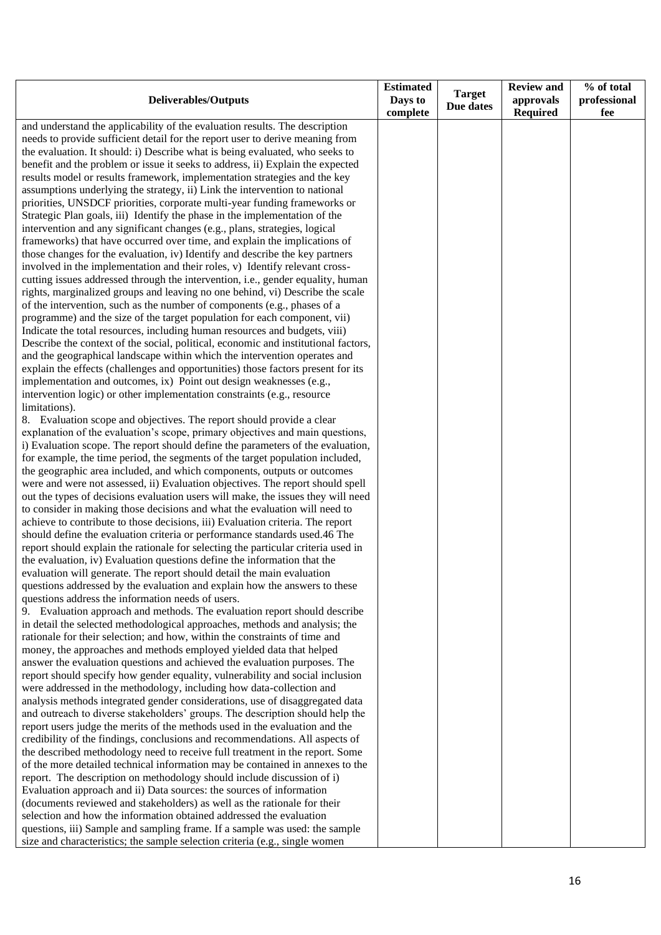| <b>Deliverables/Outputs</b>                                                                                                                                   | <b>Estimated</b><br>Days to<br>complete | <b>Target</b><br>Due dates | <b>Review and</b><br>approvals<br><b>Required</b> | % of total<br>professional<br>fee |
|---------------------------------------------------------------------------------------------------------------------------------------------------------------|-----------------------------------------|----------------------------|---------------------------------------------------|-----------------------------------|
| and understand the applicability of the evaluation results. The description                                                                                   |                                         |                            |                                                   |                                   |
| needs to provide sufficient detail for the report user to derive meaning from                                                                                 |                                         |                            |                                                   |                                   |
| the evaluation. It should: i) Describe what is being evaluated, who seeks to                                                                                  |                                         |                            |                                                   |                                   |
| benefit and the problem or issue it seeks to address, ii) Explain the expected                                                                                |                                         |                            |                                                   |                                   |
| results model or results framework, implementation strategies and the key                                                                                     |                                         |                            |                                                   |                                   |
| assumptions underlying the strategy, ii) Link the intervention to national                                                                                    |                                         |                            |                                                   |                                   |
| priorities, UNSDCF priorities, corporate multi-year funding frameworks or                                                                                     |                                         |                            |                                                   |                                   |
| Strategic Plan goals, iii) Identify the phase in the implementation of the                                                                                    |                                         |                            |                                                   |                                   |
| intervention and any significant changes (e.g., plans, strategies, logical                                                                                    |                                         |                            |                                                   |                                   |
| frameworks) that have occurred over time, and explain the implications of                                                                                     |                                         |                            |                                                   |                                   |
| those changes for the evaluation, iv) Identify and describe the key partners                                                                                  |                                         |                            |                                                   |                                   |
| involved in the implementation and their roles, v) Identify relevant cross-                                                                                   |                                         |                            |                                                   |                                   |
| cutting issues addressed through the intervention, i.e., gender equality, human                                                                               |                                         |                            |                                                   |                                   |
| rights, marginalized groups and leaving no one behind, vi) Describe the scale                                                                                 |                                         |                            |                                                   |                                   |
| of the intervention, such as the number of components (e.g., phases of a                                                                                      |                                         |                            |                                                   |                                   |
| programme) and the size of the target population for each component, vii)                                                                                     |                                         |                            |                                                   |                                   |
| Indicate the total resources, including human resources and budgets, viii)                                                                                    |                                         |                            |                                                   |                                   |
| Describe the context of the social, political, economic and institutional factors,                                                                            |                                         |                            |                                                   |                                   |
| and the geographical landscape within which the intervention operates and<br>explain the effects (challenges and opportunities) those factors present for its |                                         |                            |                                                   |                                   |
| implementation and outcomes, ix) Point out design weaknesses (e.g.,                                                                                           |                                         |                            |                                                   |                                   |
| intervention logic) or other implementation constraints (e.g., resource                                                                                       |                                         |                            |                                                   |                                   |
| limitations).                                                                                                                                                 |                                         |                            |                                                   |                                   |
| 8. Evaluation scope and objectives. The report should provide a clear                                                                                         |                                         |                            |                                                   |                                   |
| explanation of the evaluation's scope, primary objectives and main questions,                                                                                 |                                         |                            |                                                   |                                   |
| i) Evaluation scope. The report should define the parameters of the evaluation,                                                                               |                                         |                            |                                                   |                                   |
| for example, the time period, the segments of the target population included,                                                                                 |                                         |                            |                                                   |                                   |
| the geographic area included, and which components, outputs or outcomes                                                                                       |                                         |                            |                                                   |                                   |
| were and were not assessed, ii) Evaluation objectives. The report should spell                                                                                |                                         |                            |                                                   |                                   |
| out the types of decisions evaluation users will make, the issues they will need                                                                              |                                         |                            |                                                   |                                   |
| to consider in making those decisions and what the evaluation will need to                                                                                    |                                         |                            |                                                   |                                   |
| achieve to contribute to those decisions, iii) Evaluation criteria. The report                                                                                |                                         |                            |                                                   |                                   |
| should define the evaluation criteria or performance standards used.46 The                                                                                    |                                         |                            |                                                   |                                   |
| report should explain the rationale for selecting the particular criteria used in                                                                             |                                         |                            |                                                   |                                   |
| the evaluation, iv) Evaluation questions define the information that the                                                                                      |                                         |                            |                                                   |                                   |
| evaluation will generate. The report should detail the main evaluation                                                                                        |                                         |                            |                                                   |                                   |
| questions addressed by the evaluation and explain how the answers to these                                                                                    |                                         |                            |                                                   |                                   |
| questions address the information needs of users.                                                                                                             |                                         |                            |                                                   |                                   |
| 9. Evaluation approach and methods. The evaluation report should describe                                                                                     |                                         |                            |                                                   |                                   |
| in detail the selected methodological approaches, methods and analysis; the<br>rationale for their selection; and how, within the constraints of time and     |                                         |                            |                                                   |                                   |
| money, the approaches and methods employed yielded data that helped                                                                                           |                                         |                            |                                                   |                                   |
| answer the evaluation questions and achieved the evaluation purposes. The                                                                                     |                                         |                            |                                                   |                                   |
| report should specify how gender equality, vulnerability and social inclusion                                                                                 |                                         |                            |                                                   |                                   |
| were addressed in the methodology, including how data-collection and                                                                                          |                                         |                            |                                                   |                                   |
| analysis methods integrated gender considerations, use of disaggregated data                                                                                  |                                         |                            |                                                   |                                   |
| and outreach to diverse stakeholders' groups. The description should help the                                                                                 |                                         |                            |                                                   |                                   |
| report users judge the merits of the methods used in the evaluation and the                                                                                   |                                         |                            |                                                   |                                   |
| credibility of the findings, conclusions and recommendations. All aspects of                                                                                  |                                         |                            |                                                   |                                   |
| the described methodology need to receive full treatment in the report. Some                                                                                  |                                         |                            |                                                   |                                   |
| of the more detailed technical information may be contained in annexes to the                                                                                 |                                         |                            |                                                   |                                   |
| report. The description on methodology should include discussion of i)                                                                                        |                                         |                            |                                                   |                                   |
| Evaluation approach and ii) Data sources: the sources of information                                                                                          |                                         |                            |                                                   |                                   |
| (documents reviewed and stakeholders) as well as the rationale for their                                                                                      |                                         |                            |                                                   |                                   |
| selection and how the information obtained addressed the evaluation                                                                                           |                                         |                            |                                                   |                                   |
| questions, iii) Sample and sampling frame. If a sample was used: the sample                                                                                   |                                         |                            |                                                   |                                   |
| size and characteristics; the sample selection criteria (e.g., single women                                                                                   |                                         |                            |                                                   |                                   |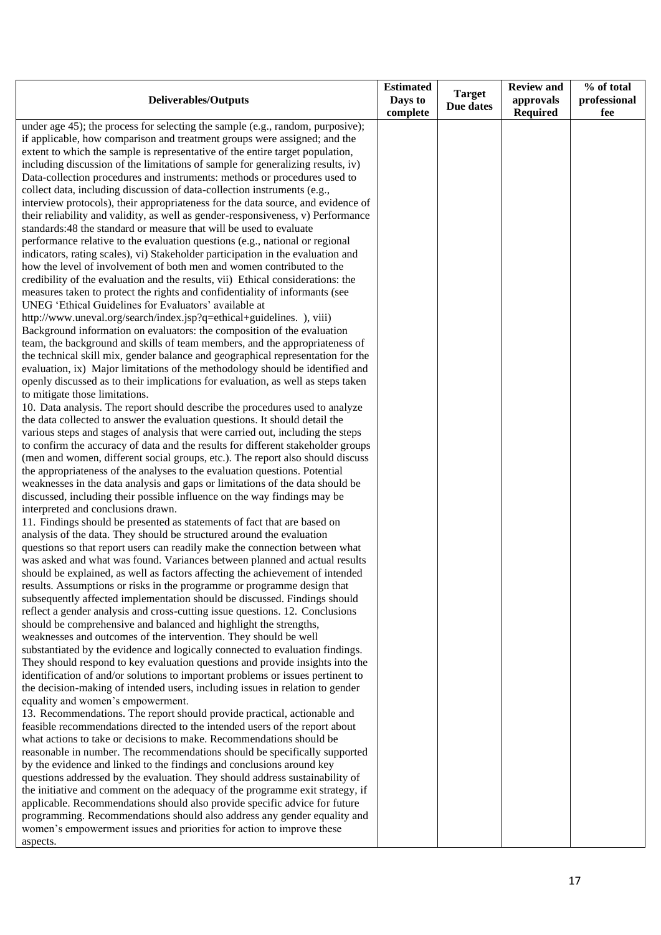| complete<br><b>Required</b><br>fee<br>under age 45); the process for selecting the sample (e.g., random, purposive);<br>if applicable, how comparison and treatment groups were assigned; and the<br>extent to which the sample is representative of the entire target population,<br>including discussion of the limitations of sample for generalizing results, iv) |
|-----------------------------------------------------------------------------------------------------------------------------------------------------------------------------------------------------------------------------------------------------------------------------------------------------------------------------------------------------------------------|
|                                                                                                                                                                                                                                                                                                                                                                       |
|                                                                                                                                                                                                                                                                                                                                                                       |
|                                                                                                                                                                                                                                                                                                                                                                       |
|                                                                                                                                                                                                                                                                                                                                                                       |
| Data-collection procedures and instruments: methods or procedures used to                                                                                                                                                                                                                                                                                             |
| collect data, including discussion of data-collection instruments (e.g.,                                                                                                                                                                                                                                                                                              |
| interview protocols), their appropriateness for the data source, and evidence of                                                                                                                                                                                                                                                                                      |
| their reliability and validity, as well as gender-responsiveness, v) Performance                                                                                                                                                                                                                                                                                      |
| standards:48 the standard or measure that will be used to evaluate                                                                                                                                                                                                                                                                                                    |
| performance relative to the evaluation questions (e.g., national or regional                                                                                                                                                                                                                                                                                          |
| indicators, rating scales), vi) Stakeholder participation in the evaluation and                                                                                                                                                                                                                                                                                       |
| how the level of involvement of both men and women contributed to the                                                                                                                                                                                                                                                                                                 |
| credibility of the evaluation and the results, vii) Ethical considerations: the                                                                                                                                                                                                                                                                                       |
| measures taken to protect the rights and confidentiality of informants (see                                                                                                                                                                                                                                                                                           |
| UNEG 'Ethical Guidelines for Evaluators' available at                                                                                                                                                                                                                                                                                                                 |
| http://www.uneval.org/search/index.jsp?q=ethical+guidelines. ), viii)                                                                                                                                                                                                                                                                                                 |
| Background information on evaluators: the composition of the evaluation<br>team, the background and skills of team members, and the appropriateness of                                                                                                                                                                                                                |
| the technical skill mix, gender balance and geographical representation for the                                                                                                                                                                                                                                                                                       |
| evaluation, ix) Major limitations of the methodology should be identified and                                                                                                                                                                                                                                                                                         |
| openly discussed as to their implications for evaluation, as well as steps taken                                                                                                                                                                                                                                                                                      |
| to mitigate those limitations.                                                                                                                                                                                                                                                                                                                                        |
| 10. Data analysis. The report should describe the procedures used to analyze                                                                                                                                                                                                                                                                                          |
| the data collected to answer the evaluation questions. It should detail the                                                                                                                                                                                                                                                                                           |
| various steps and stages of analysis that were carried out, including the steps                                                                                                                                                                                                                                                                                       |
| to confirm the accuracy of data and the results for different stakeholder groups                                                                                                                                                                                                                                                                                      |
| (men and women, different social groups, etc.). The report also should discuss                                                                                                                                                                                                                                                                                        |
| the appropriateness of the analyses to the evaluation questions. Potential                                                                                                                                                                                                                                                                                            |
| weaknesses in the data analysis and gaps or limitations of the data should be                                                                                                                                                                                                                                                                                         |
| discussed, including their possible influence on the way findings may be                                                                                                                                                                                                                                                                                              |
| interpreted and conclusions drawn.                                                                                                                                                                                                                                                                                                                                    |
| 11. Findings should be presented as statements of fact that are based on                                                                                                                                                                                                                                                                                              |
| analysis of the data. They should be structured around the evaluation                                                                                                                                                                                                                                                                                                 |
| questions so that report users can readily make the connection between what                                                                                                                                                                                                                                                                                           |
| was asked and what was found. Variances between planned and actual results<br>should be explained, as well as factors affecting the achievement of intended                                                                                                                                                                                                           |
| results. Assumptions or risks in the programme or programme design that                                                                                                                                                                                                                                                                                               |
| subsequently affected implementation should be discussed. Findings should                                                                                                                                                                                                                                                                                             |
| reflect a gender analysis and cross-cutting issue questions. 12. Conclusions                                                                                                                                                                                                                                                                                          |
| should be comprehensive and balanced and highlight the strengths,                                                                                                                                                                                                                                                                                                     |
| weaknesses and outcomes of the intervention. They should be well                                                                                                                                                                                                                                                                                                      |
| substantiated by the evidence and logically connected to evaluation findings.                                                                                                                                                                                                                                                                                         |
| They should respond to key evaluation questions and provide insights into the                                                                                                                                                                                                                                                                                         |
| identification of and/or solutions to important problems or issues pertinent to                                                                                                                                                                                                                                                                                       |
| the decision-making of intended users, including issues in relation to gender                                                                                                                                                                                                                                                                                         |
| equality and women's empowerment.                                                                                                                                                                                                                                                                                                                                     |
| 13. Recommendations. The report should provide practical, actionable and                                                                                                                                                                                                                                                                                              |
| feasible recommendations directed to the intended users of the report about                                                                                                                                                                                                                                                                                           |
| what actions to take or decisions to make. Recommendations should be                                                                                                                                                                                                                                                                                                  |
| reasonable in number. The recommendations should be specifically supported                                                                                                                                                                                                                                                                                            |
| by the evidence and linked to the findings and conclusions around key                                                                                                                                                                                                                                                                                                 |
| questions addressed by the evaluation. They should address sustainability of                                                                                                                                                                                                                                                                                          |
| the initiative and comment on the adequacy of the programme exit strategy, if<br>applicable. Recommendations should also provide specific advice for future                                                                                                                                                                                                           |
| programming. Recommendations should also address any gender equality and                                                                                                                                                                                                                                                                                              |
| women's empowerment issues and priorities for action to improve these                                                                                                                                                                                                                                                                                                 |
| aspects.                                                                                                                                                                                                                                                                                                                                                              |